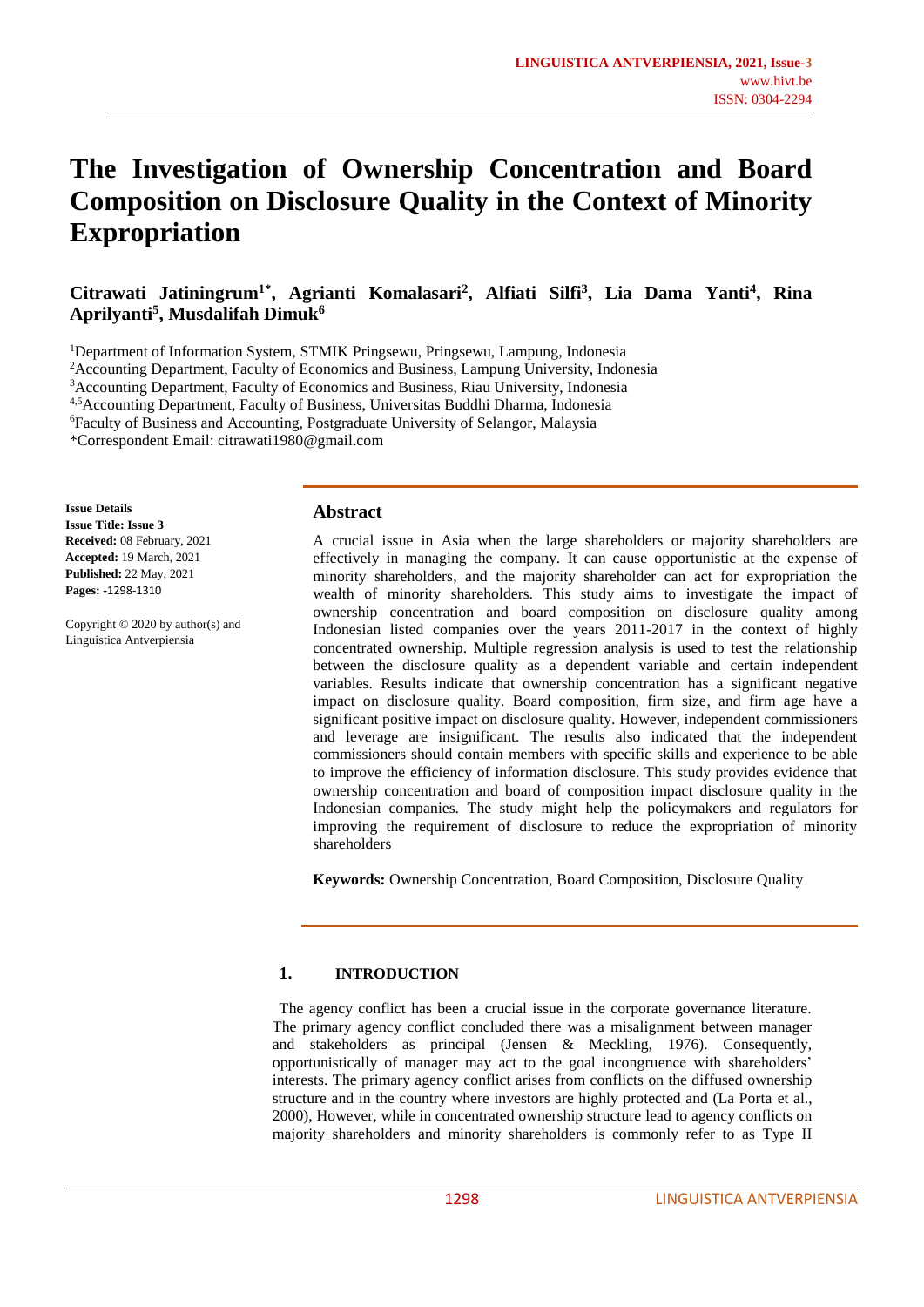# **The Investigation of Ownership Concentration and Board Composition on Disclosure Quality in the Context of Minority Expropriation**

**Citrawati Jatiningrum1\* , Agrianti Komalasari<sup>2</sup> , Alfiati Silfi<sup>3</sup> , Lia Dama Yanti<sup>4</sup> , Rina Aprilyanti<sup>5</sup> , Musdalifah Dimuk<sup>6</sup>**

<sup>1</sup>Department of Information System, STMIK Pringsewu, Pringsewu, Lampung, Indonesia

<sup>2</sup>Accounting Department, Faculty of Economics and Business, Lampung University, Indonesia

<sup>3</sup>Accounting Department, Faculty of Economics and Business, Riau University, Indonesia

4,5Accounting Department, Faculty of Business, Universitas Buddhi Dharma, Indonesia

<sup>6</sup>Faculty of Business and Accounting, Postgraduate University of Selangor, Malaysia

\*Correspondent Email: [citrawati1980@gmail.com](mailto:citrawati1980@gmail.com)

**Issue Details Issue Title: Issue 3 Received:** 08 February, 2021 **Accepted:** 19 March, 2021 **Published:** 22 May, 2021 **Pages: -**1298-1310

Copyright © 2020 by author(s) and Linguistica Antverpiensia

# **Abstract**

A crucial issue in Asia when the large shareholders or majority shareholders are effectively in managing the company. It can cause opportunistic at the expense of minority shareholders, and the majority shareholder can act for expropriation the wealth of minority shareholders. This study aims to investigate the impact of ownership concentration and board composition on disclosure quality among Indonesian listed companies over the years 2011-2017 in the context of highly concentrated ownership. Multiple regression analysis is used to test the relationship between the disclosure quality as a dependent variable and certain independent variables. Results indicate that ownership concentration has a significant negative impact on disclosure quality. Board composition, firm size, and firm age have a significant positive impact on disclosure quality. However, independent commissioners and leverage are insignificant. The results also indicated that the independent commissioners should contain members with specific skills and experience to be able to improve the efficiency of information disclosure. This study provides evidence that ownership concentration and board of composition impact disclosure quality in the Indonesian companies. The study might help the policymakers and regulators for improving the requirement of disclosure to reduce the expropriation of minority shareholders

**Keywords:** Ownership Concentration, Board Composition, Disclosure Quality

# **1. INTRODUCTION**

The agency conflict has been a crucial issue in the corporate governance literature. The primary agency conflict concluded there was a misalignment between manager and stakeholders as principal (Jensen & Meckling, 1976). Consequently, opportunistically of manager may act to the goal incongruence with shareholders' interests. The primary agency conflict arises from conflicts on the diffused ownership structure and in the country where investors are highly protected and (La Porta et al., 2000), However, while in concentrated ownership structure lead to agency conflicts on majority shareholders and minority shareholders is commonly refer to as Type II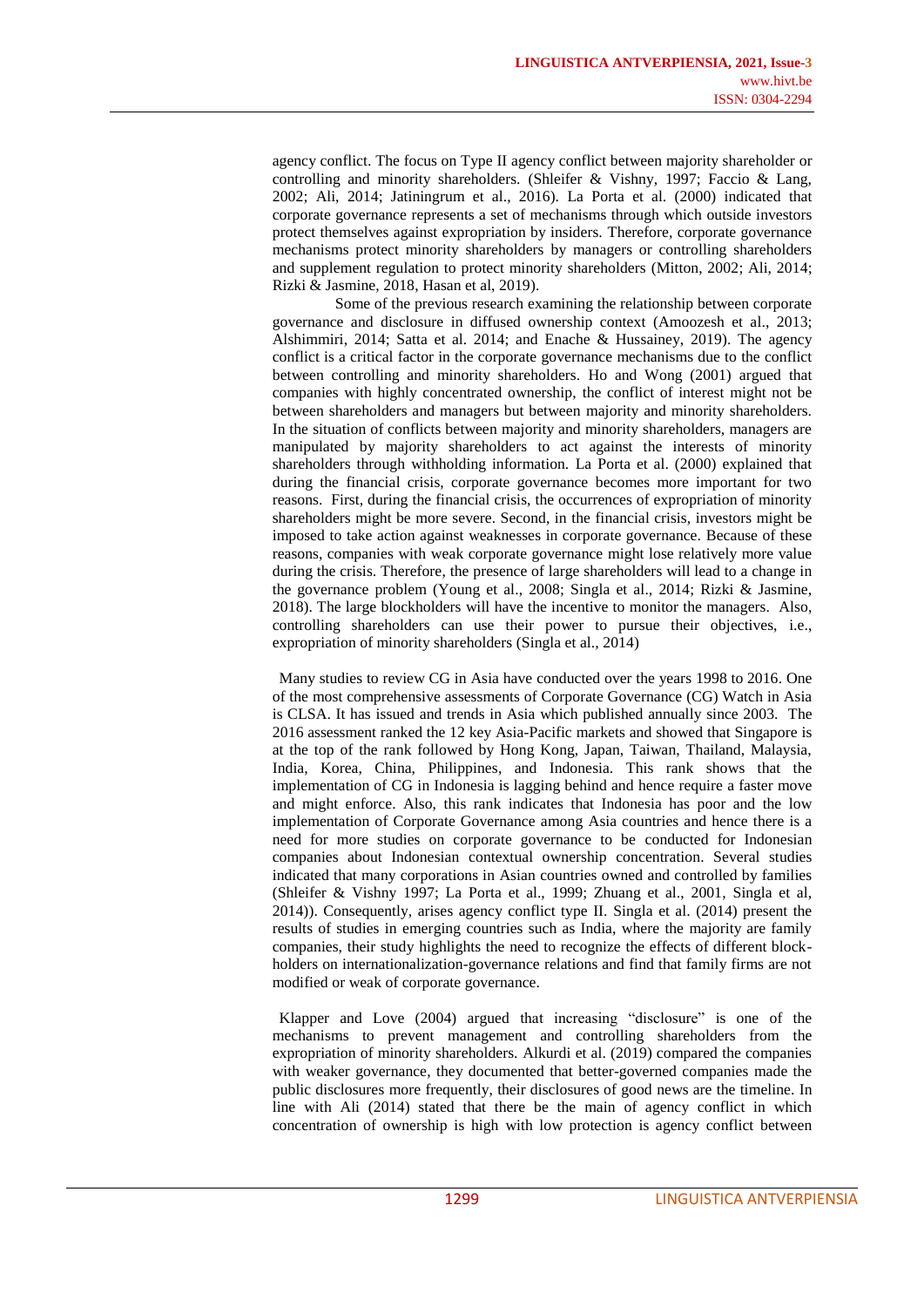agency conflict. The focus on Type II agency conflict between majority shareholder or controlling and minority shareholders. (Shleifer & Vishny, 1997; Faccio & Lang, 2002; Ali, 2014; Jatiningrum et al., 2016). La Porta et al. (2000) indicated that corporate governance represents a set of mechanisms through which outside investors protect themselves against expropriation by insiders. Therefore, corporate governance mechanisms protect minority shareholders by managers or controlling shareholders and supplement regulation to protect minority shareholders (Mitton, 2002; Ali, 2014; Rizki & Jasmine, 2018, Hasan et al, 2019).

Some of the previous research examining the relationship between corporate governance and disclosure in diffused ownership context (Amoozesh et al., 2013; Alshimmiri, 2014; Satta et al. 2014; and Enache & Hussainey, 2019). The agency conflict is a critical factor in the corporate governance mechanisms due to the conflict between controlling and minority shareholders. Ho and Wong (2001) argued that companies with highly concentrated ownership, the conflict of interest might not be between shareholders and managers but between majority and minority shareholders. In the situation of conflicts between majority and minority shareholders, managers are manipulated by majority shareholders to act against the interests of minority shareholders through withholding information. La Porta et al. (2000) explained that during the financial crisis, corporate governance becomes more important for two reasons. First, during the financial crisis, the occurrences of expropriation of minority shareholders might be more severe. Second, in the financial crisis, investors might be imposed to take action against weaknesses in corporate governance. Because of these reasons, companies with weak corporate governance might lose relatively more value during the crisis. Therefore, the presence of large shareholders will lead to a change in the governance problem (Young et al., 2008; Singla et al., 2014; Rizki & Jasmine, 2018). The large blockholders will have the incentive to monitor the managers. Also, controlling shareholders can use their power to pursue their objectives, i.e., expropriation of minority shareholders (Singla et al., 2014)

Many studies to review CG in Asia have conducted over the years 1998 to 2016. One of the most comprehensive assessments of Corporate Governance (CG) Watch in Asia is CLSA. It has issued and trends in Asia which published annually since 2003. The 2016 assessment ranked the 12 key Asia-Pacific markets and showed that Singapore is at the top of the rank followed by Hong Kong, Japan, Taiwan, Thailand, Malaysia, India, Korea, China, Philippines, and Indonesia. This rank shows that the implementation of CG in Indonesia is lagging behind and hence require a faster move and might enforce. Also, this rank indicates that Indonesia has poor and the low implementation of Corporate Governance among Asia countries and hence there is a need for more studies on corporate governance to be conducted for Indonesian companies about Indonesian contextual ownership concentration. Several studies indicated that many corporations in Asian countries owned and controlled by families (Shleifer & Vishny 1997; La Porta et al., 1999; Zhuang et al., 2001, Singla et al, 2014)). Consequently, arises agency conflict type II. Singla et al. (2014) present the results of studies in emerging countries such as India, where the majority are family companies, their study highlights the need to recognize the effects of different blockholders on internationalization-governance relations and find that family firms are not modified or weak of corporate governance.

Klapper and Love (2004) argued that increasing "disclosure" is one of the mechanisms to prevent management and controlling shareholders from the expropriation of minority shareholders. Alkurdi et al. (2019) compared the companies with weaker governance, they documented that better-governed companies made the public disclosures more frequently, their disclosures of good news are the timeline. In line with Ali (2014) stated that there be the main of agency conflict in which concentration of ownership is high with low protection is agency conflict between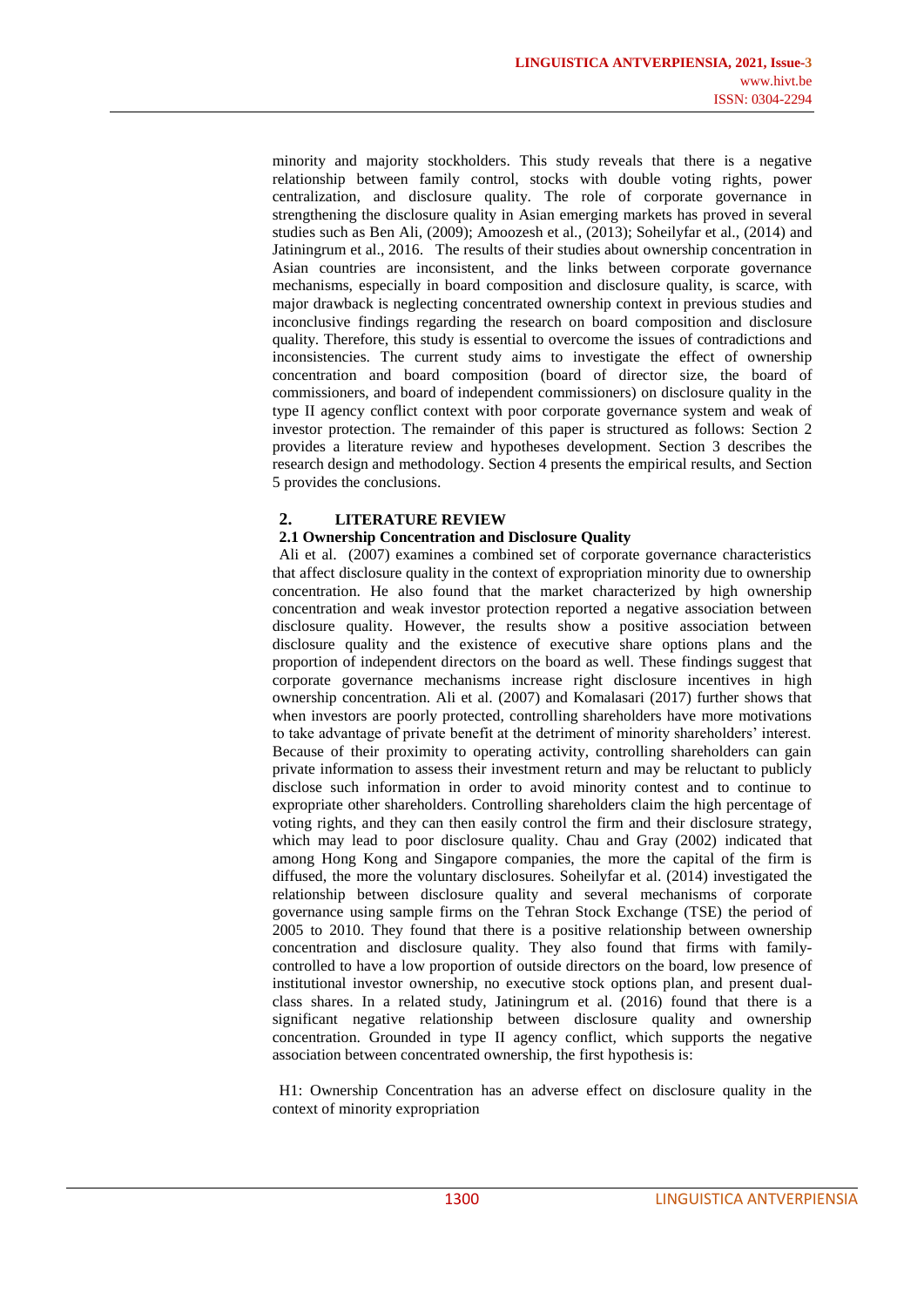minority and majority stockholders. This study reveals that there is a negative relationship between family control, stocks with double voting rights, power centralization, and disclosure quality. The role of corporate governance in strengthening the disclosure quality in Asian emerging markets has proved in several studies such as Ben Ali, (2009); Amoozesh et al., (2013); Soheilyfar et al., (2014) and Jatiningrum et al., 2016. The results of their studies about ownership concentration in Asian countries are inconsistent, and the links between corporate governance mechanisms, especially in board composition and disclosure quality, is scarce, with major drawback is neglecting concentrated ownership context in previous studies and inconclusive findings regarding the research on board composition and disclosure quality. Therefore, this study is essential to overcome the issues of contradictions and inconsistencies. The current study aims to investigate the effect of ownership concentration and board composition (board of director size, the board of commissioners, and board of independent commissioners) on disclosure quality in the type II agency conflict context with poor corporate governance system and weak of investor protection. The remainder of this paper is structured as follows: Section 2 provides a literature review and hypotheses development. Section 3 describes the research design and methodology. Section 4 presents the empirical results, and Section 5 provides the conclusions.

# **2. LITERATURE REVIEW**

#### **2.1 Ownership Concentration and Disclosure Quality**

Ali et al. (2007) examines a combined set of corporate governance characteristics that affect disclosure quality in the context of expropriation minority due to ownership concentration. He also found that the market characterized by high ownership concentration and weak investor protection reported a negative association between disclosure quality. However, the results show a positive association between disclosure quality and the existence of executive share options plans and the proportion of independent directors on the board as well. These findings suggest that corporate governance mechanisms increase right disclosure incentives in high ownership concentration. Ali et al. (2007) and Komalasari (2017) further shows that when investors are poorly protected, controlling shareholders have more motivations to take advantage of private benefit at the detriment of minority shareholders' interest. Because of their proximity to operating activity, controlling shareholders can gain private information to assess their investment return and may be reluctant to publicly disclose such information in order to avoid minority contest and to continue to expropriate other shareholders. Controlling shareholders claim the high percentage of voting rights, and they can then easily control the firm and their disclosure strategy, which may lead to poor disclosure quality. Chau and Gray (2002) indicated that among Hong Kong and Singapore companies, the more the capital of the firm is diffused, the more the voluntary disclosures. Soheilyfar et al. (2014) investigated the relationship between disclosure quality and several mechanisms of corporate governance using sample firms on the Tehran Stock Exchange (TSE) the period of 2005 to 2010. They found that there is a positive relationship between ownership concentration and disclosure quality. They also found that firms with familycontrolled to have a low proportion of outside directors on the board, low presence of institutional investor ownership, no executive stock options plan, and present dualclass shares. In a related study, Jatiningrum et al. (2016) found that there is a significant negative relationship between disclosure quality and ownership concentration. Grounded in type II agency conflict, which supports the negative association between concentrated ownership, the first hypothesis is:

H1: Ownership Concentration has an adverse effect on disclosure quality in the context of minority expropriation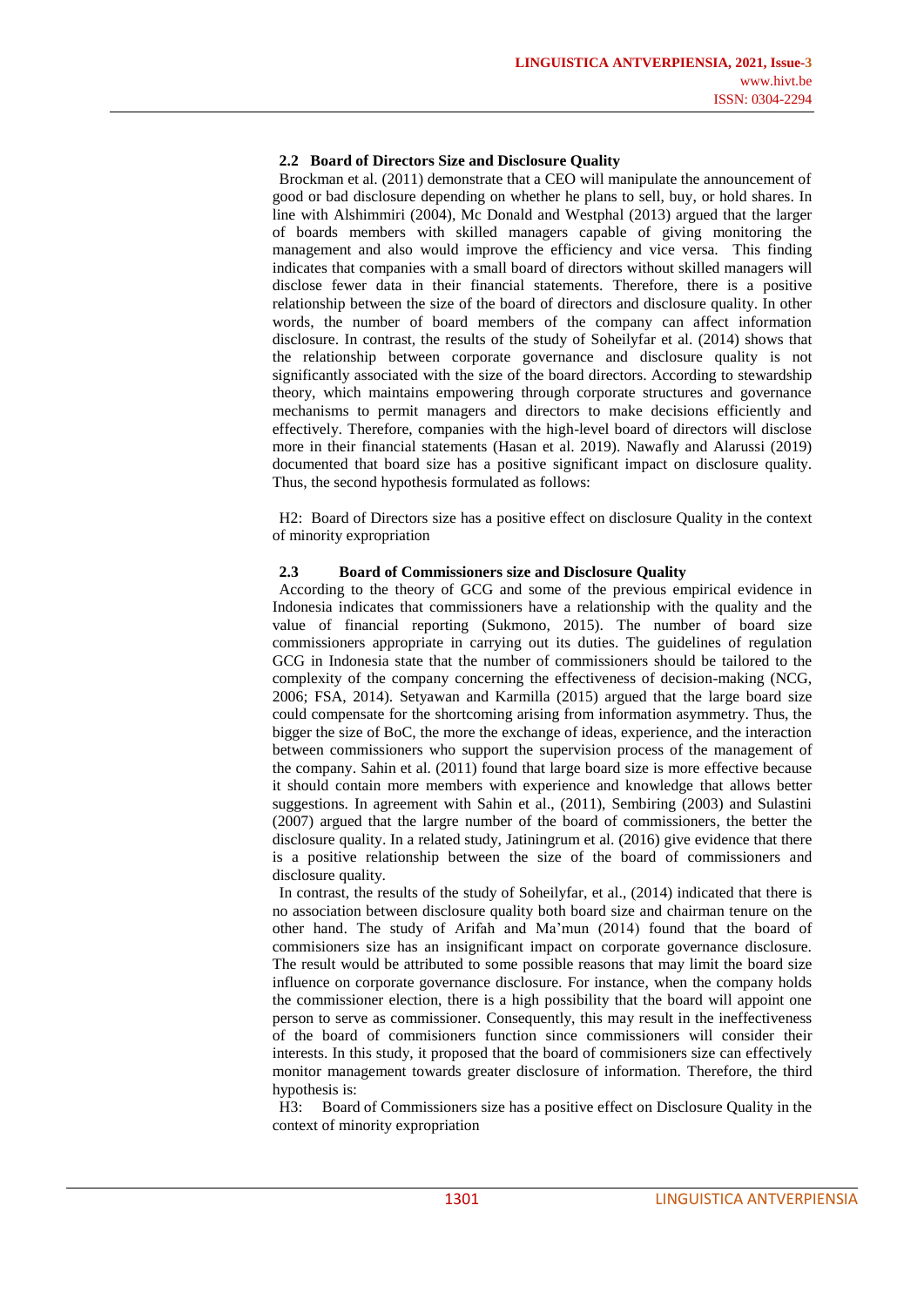#### **2.2 Board of Directors Size and Disclosure Quality**

Brockman et al. (2011) demonstrate that a CEO will manipulate the announcement of good or bad disclosure depending on whether he plans to sell, buy, or hold shares. In line with Alshimmiri (2004), Mc Donald and Westphal (2013) argued that the larger of boards members with skilled managers capable of giving monitoring the management and also would improve the efficiency and vice versa. This finding indicates that companies with a small board of directors without skilled managers will disclose fewer data in their financial statements. Therefore, there is a positive relationship between the size of the board of directors and disclosure quality. In other words, the number of board members of the company can affect information disclosure. In contrast, the results of the study of Soheilyfar et al. (2014) shows that the relationship between corporate governance and disclosure quality is not significantly associated with the size of the board directors. According to stewardship theory, which maintains empowering through corporate structures and governance mechanisms to permit managers and directors to make decisions efficiently and effectively. Therefore, companies with the high-level board of directors will disclose more in their financial statements (Hasan et al. 2019). Nawafly and Alarussi (2019) documented that board size has a positive significant impact on disclosure quality. Thus, the second hypothesis formulated as follows:

H2: Board of Directors size has a positive effect on disclosure Quality in the context of minority expropriation

#### **2.3 Board of Commissioners size and Disclosure Quality**

According to the theory of GCG and some of the previous empirical evidence in Indonesia indicates that commissioners have a relationship with the quality and the value of financial reporting (Sukmono, 2015). The number of board size commissioners appropriate in carrying out its duties. The guidelines of regulation GCG in Indonesia state that the number of commissioners should be tailored to the complexity of the company concerning the effectiveness of decision-making (NCG, 2006; FSA, 2014). Setyawan and Karmilla (2015) argued that the large board size could compensate for the shortcoming arising from information asymmetry. Thus, the bigger the size of BoC, the more the exchange of ideas, experience, and the interaction between commissioners who support the supervision process of the management of the company. Sahin et al. (2011) found that large board size is more effective because it should contain more members with experience and knowledge that allows better suggestions. In agreement with Sahin et al., (2011), Sembiring (2003) and Sulastini (2007) argued that the largre number of the board of commissioners, the better the disclosure quality. In a related study, Jatiningrum et al. (2016) give evidence that there is a positive relationship between the size of the board of commissioners and disclosure quality.

In contrast, the results of the study of Soheilyfar, et al., (2014) indicated that there is no association between disclosure quality both board size and chairman tenure on the other hand. The study of Arifah and Ma'mun (2014) found that the board of commisioners size has an insignificant impact on corporate governance disclosure. The result would be attributed to some possible reasons that may limit the board size influence on corporate governance disclosure. For instance, when the company holds the commissioner election, there is a high possibility that the board will appoint one person to serve as commissioner. Consequently, this may result in the ineffectiveness of the board of commisioners function since commissioners will consider their interests. In this study, it proposed that the board of commisioners size can effectively monitor management towards greater disclosure of information. Therefore, the third hypothesis is:

H3: Board of Commissioners size has a positive effect on Disclosure Quality in the context of minority expropriation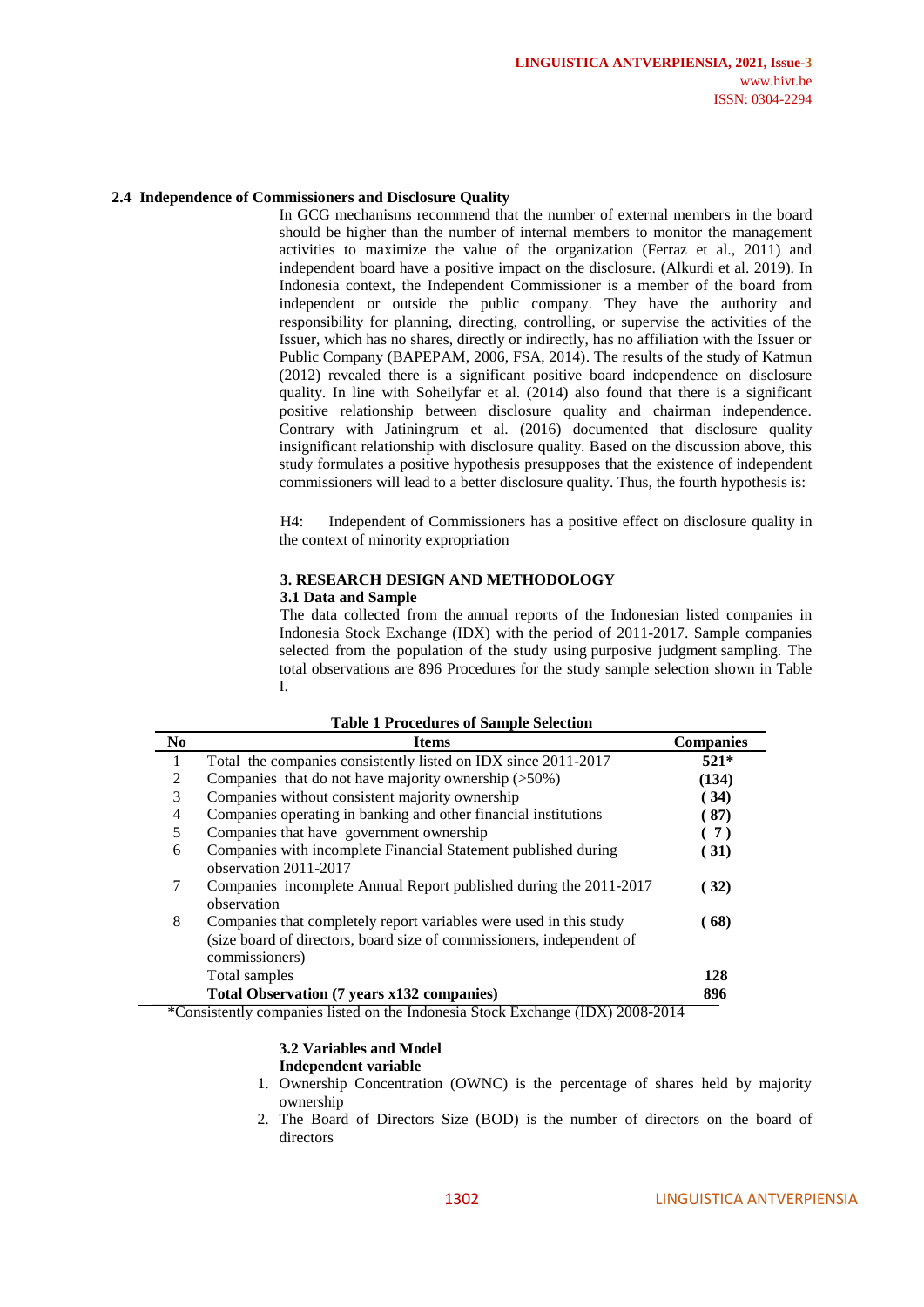#### **2.4 Independence of Commissioners and Disclosure Quality**

In GCG mechanisms recommend that the number of external members in the board should be higher than the number of internal members to monitor the management activities to maximize the value of the organization (Ferraz et al., 2011) and independent board have a positive impact on the disclosure. (Alkurdi et al. 2019). In Indonesia context, the Independent Commissioner is a member of the board from independent or outside the public company. They have the authority and responsibility for planning, directing, controlling, or supervise the activities of the Issuer, which has no shares, directly or indirectly, has no affiliation with the Issuer or Public Company (BAPEPAM, 2006, FSA, 2014). The results of the study of Katmun (2012) revealed there is a significant positive board independence on disclosure quality. In line with Soheilyfar et al. (2014) also found that there is a significant positive relationship between disclosure quality and chairman independence. Contrary with Jatiningrum et al. (2016) documented that disclosure quality insignificant relationship with disclosure quality. Based on the discussion above, this study formulates a positive hypothesis presupposes that the existence of independent commissioners will lead to a better disclosure quality. Thus, the fourth hypothesis is:

H4: Independent of Commissioners has a positive effect on disclosure quality in the context of minority expropriation

#### **3. RESEARCH DESIGN AND METHODOLOGY 3.1 Data and Sample**

The data collected from the annual reports of the Indonesian listed companies in

Indonesia Stock Exchange (IDX) with the period of 2011-2017. Sample companies selected from the population of the study using purposive judgment sampling. The total observations are 896 Procedures for the study sample selection shown in Table I.

| N <sub>0</sub> | <b>Items</b>                                                          | <b>Companies</b> |
|----------------|-----------------------------------------------------------------------|------------------|
|                | Total the companies consistently listed on IDX since 2011-2017        | $521*$           |
| 2              | Companies that do not have majority ownership $($ >50%)               | (134)            |
| 3              | Companies without consistent majority ownership                       | (34)             |
| 4              | Companies operating in banking and other financial institutions       | (87)             |
| 5              | Companies that have government ownership                              | (7)              |
| 6              | Companies with incomplete Financial Statement published during        | 31)              |
|                | observation 2011-2017                                                 |                  |
| 7              | Companies incomplete Annual Report published during the 2011-2017     | 32)              |
|                | observation                                                           |                  |
| 8              | Companies that completely report variables were used in this study    | 68)              |
|                | (size board of directors, board size of commissioners, independent of |                  |
|                | commissioners)                                                        |                  |
|                | Total samples                                                         | 128              |
|                | Total Observation (7 years x132 companies)                            | 896              |
| $\sim$         | (TN(T), A000 A01)<br>.                                                |                  |

**Table 1 Procedures of Sample Selection**

\*Consistently companies listed on the Indonesia Stock Exchange (IDX) 2008-2014

# **3.2 Variables and Model**

#### **Independent variable**

- 1. Ownership Concentration (OWNC) is the percentage of shares held by majority ownership
- 2. The Board of Directors Size (BOD) is the number of directors on the board of directors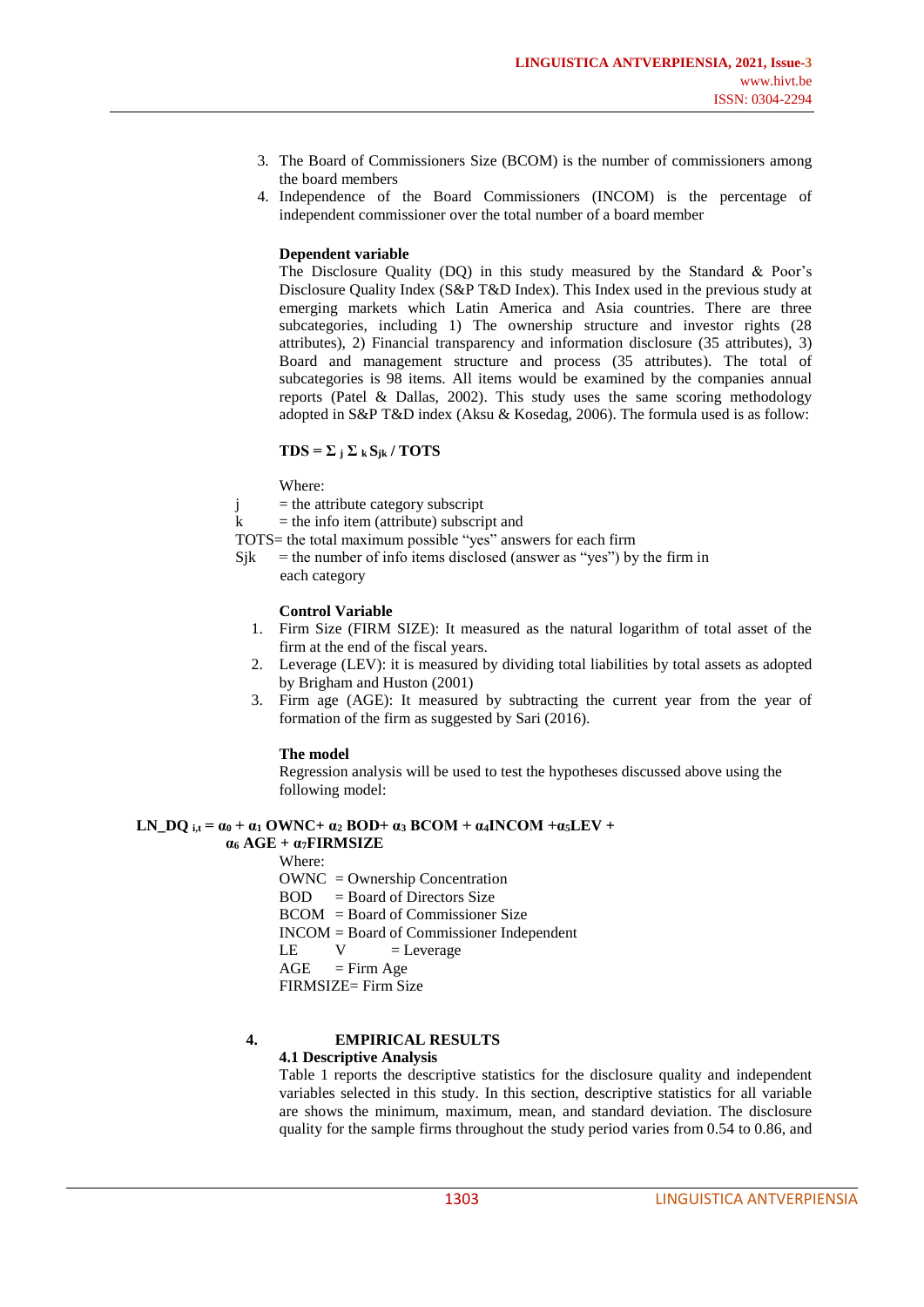- 3. The Board of Commissioners Size (BCOM) is the number of commissioners among the board members
- 4. Independence of the Board Commissioners (INCOM) is the percentage of independent commissioner over the total number of a board member

#### **Dependent variable**

The Disclosure Quality (DQ) in this study measured by the Standard & Poor's Disclosure Quality Index (S&P T&D Index). This Index used in the previous study at emerging markets which Latin America and Asia countries. There are three subcategories, including 1) The ownership structure and investor rights (28 attributes), 2) Financial transparency and information disclosure (35 attributes), 3) Board and management structure and process (35 attributes). The total of subcategories is 98 items. All items would be examined by the companies annual reports (Patel & Dallas, 2002). This study uses the same scoring methodology adopted in S&P T&D index (Aksu & Kosedag, 2006). The formula used is as follow:

#### $TDS = \sum_i \sum_k S_{ik} / TOTS$

Where:

 $j =$  the attribute category subscript

 $k =$  the info item (attribute) subscript and

- TOTS= the total maximum possible "yes" answers for each firm
- $Sik =$  the number of info items disclosed (answer as "yes") by the firm in each category

#### **Control Variable**

- 1. Firm Size (FIRM SIZE): It measured as the natural logarithm of total asset of the firm at the end of the fiscal years.
- 2. Leverage (LEV): it is measured by dividing total liabilities by total assets as adopted by Brigham and Huston (2001)
- 3. Firm age (AGE): It measured by subtracting the current year from the year of formation of the firm as suggested by Sari (2016).

#### **The model**

Regression analysis will be used to test the hypotheses discussed above using the following model:

#### **LN DO**  $i$ **,t =**  $\alpha$ **0 +**  $\alpha$ **1 OWNC+**  $\alpha$ <sub>2</sub> **BOD+**  $\alpha$ <sub>3</sub> **BCOM** +  $\alpha$ **4INCOM** + $\alpha$ **5LEV** +  $\alpha_6$  AGE +  $\alpha_7$ **FIRMSIZE**

Where:

OWNC = Ownership Concentration

 $BOD = Board of Directors Size$ 

BCOM = Board of Commissioner Size

INCOM = Board of Commissioner Independent

- $LE$   $V$  = Leverage
- $AGE$  = Firm Age

FIRMSIZE= Firm Size

# **4. EMPIRICAL RESULTS**

#### **4.1 Descriptive Analysis**

Table 1 reports the descriptive statistics for the disclosure quality and independent variables selected in this study. In this section, descriptive statistics for all variable are shows the minimum, maximum, mean, and standard deviation. The disclosure quality for the sample firms throughout the study period varies from 0.54 to 0.86, and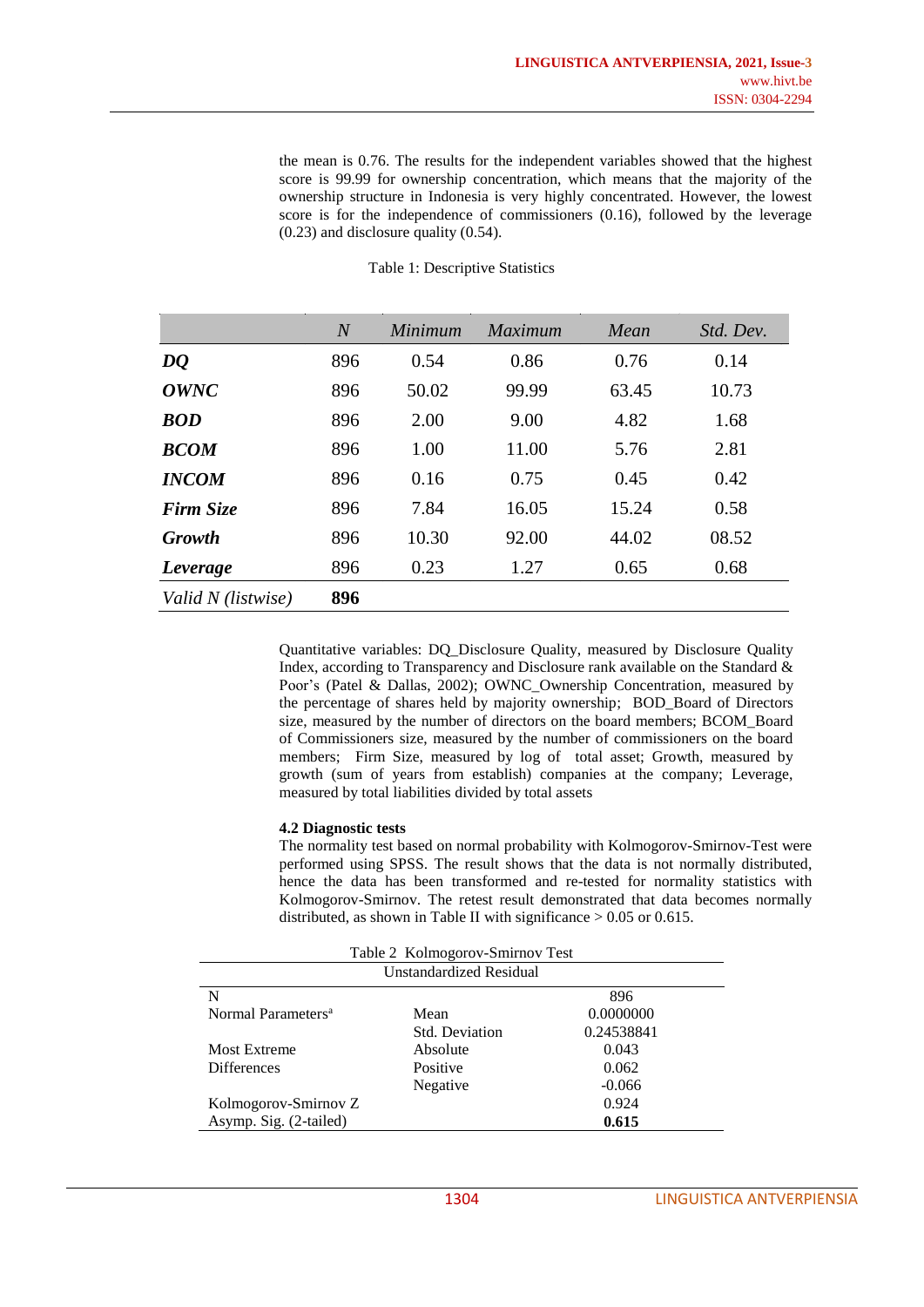the mean is 0.76. The results for the independent variables showed that the highest score is 99.99 for ownership concentration, which means that the majority of the ownership structure in Indonesia is very highly concentrated. However, the lowest score is for the independence of commissioners (0.16), followed by the leverage (0.23) and disclosure quality (0.54).

|                    | $\overline{N}$ | Minimum | <i>Maximum</i> | Mean  | Std. Dev. |
|--------------------|----------------|---------|----------------|-------|-----------|
| DQ                 | 896            | 0.54    | 0.86           | 0.76  | 0.14      |
| OWNC               | 896            | 50.02   | 99.99          | 63.45 | 10.73     |
| <b>BOD</b>         | 896            | 2.00    | 9.00           | 4.82  | 1.68      |
| <b>BCOM</b>        | 896            | 1.00    | 11.00          | 5.76  | 2.81      |
| <b>INCOM</b>       | 896            | 0.16    | 0.75           | 0.45  | 0.42      |
| <b>Firm Size</b>   | 896            | 7.84    | 16.05          | 15.24 | 0.58      |
| <b>Growth</b>      | 896            | 10.30   | 92.00          | 44.02 | 08.52     |
| Leverage           | 896            | 0.23    | 1.27           | 0.65  | 0.68      |
| Valid N (listwise) | 896            |         |                |       |           |

#### Table 1: Descriptive Statistics

Quantitative variables: DQ\_Disclosure Quality, measured by Disclosure Quality Index, according to Transparency and Disclosure rank available on the Standard & Poor's (Patel & Dallas, 2002); OWNC\_Ownership Concentration, measured by the percentage of shares held by majority ownership; BOD\_Board of Directors size, measured by the number of directors on the board members; BCOM\_Board of Commissioners size, measured by the number of commissioners on the board members; Firm Size, measured by log of total asset; Growth, measured by growth (sum of years from establish) companies at the company; Leverage, measured by total liabilities divided by total assets

#### **4.2 Diagnostic tests**

The normality test based on normal probability with Kolmogorov-Smirnov-Test were performed using SPSS. The result shows that the data is not normally distributed, hence the data has been transformed and re-tested for normality statistics with Kolmogorov-Smirnov. The retest result demonstrated that data becomes normally distributed, as shown in Table II with significance  $> 0.05$  or 0.615.

|                                                     | Table 2 Kolmogorov-Smirnov Test |  |  |  |  |
|-----------------------------------------------------|---------------------------------|--|--|--|--|
| Unstandardized Residual                             |                                 |  |  |  |  |
| N<br>896                                            |                                 |  |  |  |  |
| 0.0000000<br>Normal Parameters <sup>a</sup><br>Mean |                                 |  |  |  |  |
| 0.24538841<br><b>Std. Deviation</b>                 |                                 |  |  |  |  |
| <b>Most Extreme</b><br>Absolute<br>0.043            |                                 |  |  |  |  |
| 0.062<br><b>Differences</b><br>Positive             |                                 |  |  |  |  |
| Negative<br>$-0.066$                                |                                 |  |  |  |  |
| 0.924<br>Kolmogorov-Smirnov Z                       |                                 |  |  |  |  |
| Asymp. Sig. (2-tailed)<br>0.615                     |                                 |  |  |  |  |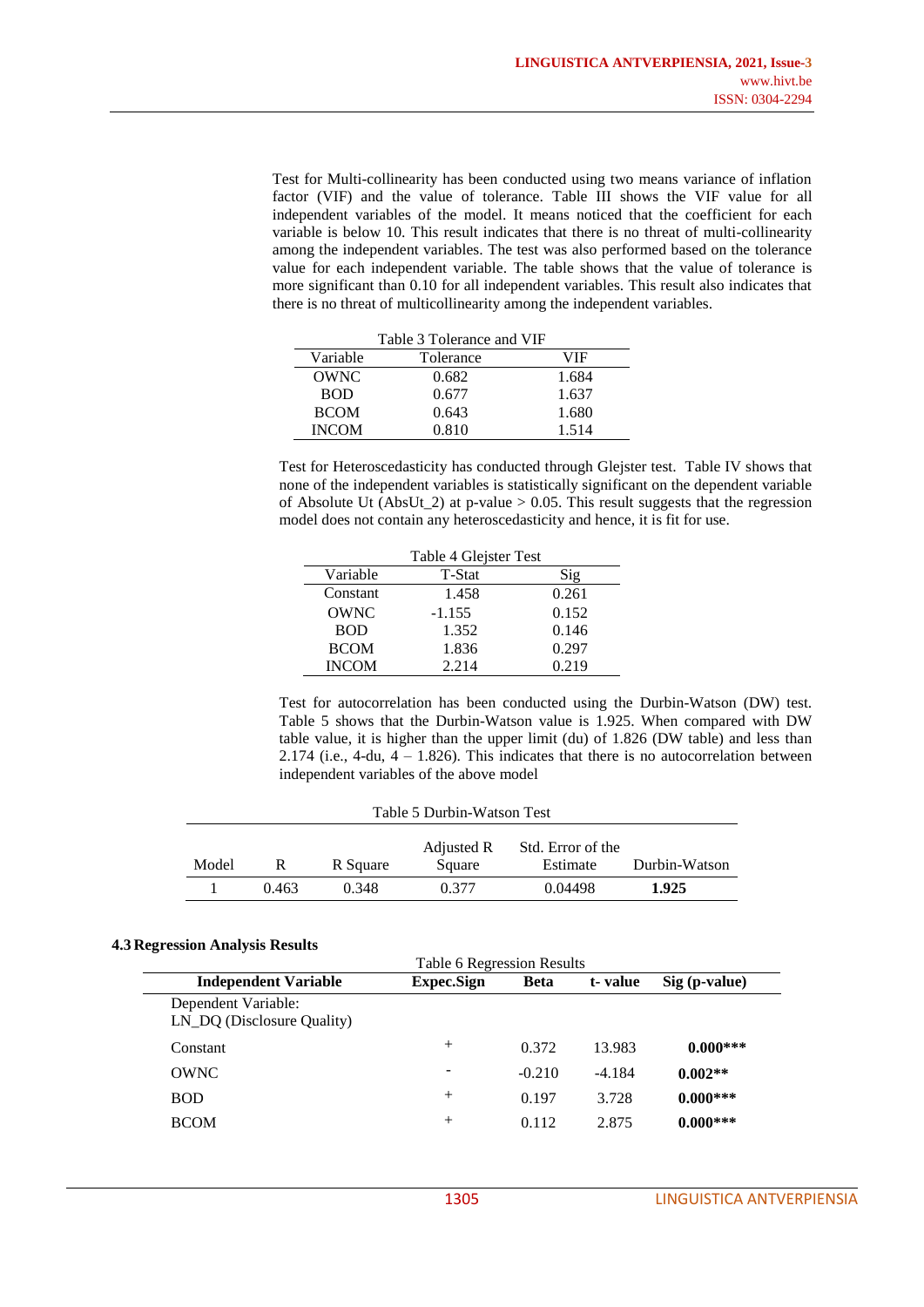Test for Multi-collinearity has been conducted using two means variance of inflation factor (VIF) and the value of tolerance. Table III shows the VIF value for all independent variables of the model. It means noticed that the coefficient for each variable is below 10. This result indicates that there is no threat of multi-collinearity among the independent variables. The test was also performed based on the tolerance value for each independent variable. The table shows that the value of tolerance is more significant than 0.10 for all independent variables. This result also indicates that there is no threat of multicollinearity among the independent variables.

| Table 3 Tolerance and VIF |           |       |  |  |
|---------------------------|-----------|-------|--|--|
| Variable                  | Tolerance | VIF   |  |  |
| OWNC                      | 0.682     | 1.684 |  |  |
| <b>BOD</b>                | 0.677     | 1.637 |  |  |
| <b>BCOM</b>               | 0.643     | 1.680 |  |  |
| <b>INCOM</b>              | 0.810     | 1.514 |  |  |

Test for Heteroscedasticity has conducted through Glejster test. Table IV shows that none of the independent variables is statistically significant on the dependent variable of Absolute Ut (AbsUt<sub>-2</sub>) at p-value > 0.05. This result suggests that the regression model does not contain any heteroscedasticity and hence, it is fit for use.

| Table 4 Glejster Test |          |       |  |  |
|-----------------------|----------|-------|--|--|
| Variable              | T-Stat   | Sig   |  |  |
| Constant              | 1.458    | 0.261 |  |  |
| <b>OWNC</b>           | $-1.155$ | 0.152 |  |  |
| <b>BOD</b>            | 1.352    | 0.146 |  |  |
| <b>BCOM</b>           | 1.836    | 0.297 |  |  |
| <b>INCOM</b>          | 2.214    | 0.219 |  |  |

Test for autocorrelation has been conducted using the Durbin-Watson (DW) test. Table 5 shows that the Durbin-Watson value is 1.925. When compared with DW table value, it is higher than the upper limit (du) of 1.826 (DW table) and less than 2.174 (i.e., 4-du,  $4 - 1.826$ ). This indicates that there is no autocorrelation between independent variables of the above model

| Table 5 Durbin-Watson Test |       |          |            |                   |               |  |
|----------------------------|-------|----------|------------|-------------------|---------------|--|
|                            |       |          | Adjusted R | Std. Error of the |               |  |
| Model                      | R     | R Square | Square     | Estimate          | Durbin-Watson |  |
|                            | 0.463 | 0.348    | 0.377      | 0.04498           | 1.925         |  |

#### **4.3 Regression Analysis Results**

| $v_{\rm B}$ , coordinal ranger $v_{\rm B}$ and $v_{\rm C}$ |                   |          |          |               |  |
|------------------------------------------------------------|-------------------|----------|----------|---------------|--|
| <b>Table 6 Regression Results</b>                          |                   |          |          |               |  |
| <b>Independent Variable</b>                                | <b>Expec.Sign</b> | Beta     | t-value  | Sig (p-value) |  |
| Dependent Variable:<br>LN_DQ (Disclosure Quality)          |                   |          |          |               |  |
| Constant                                                   | $^{+}$            | 0.372    | 13.983   | $0.000***$    |  |
| <b>OWNC</b>                                                |                   | $-0.210$ | $-4.184$ | $0.002**$     |  |
| <b>BOD</b>                                                 | $+$               | 0.197    | 3.728    | $0.000***$    |  |
| <b>BCOM</b>                                                | $+$               | 0.112    | 2.875    | $0.000***$    |  |
|                                                            |                   |          |          |               |  |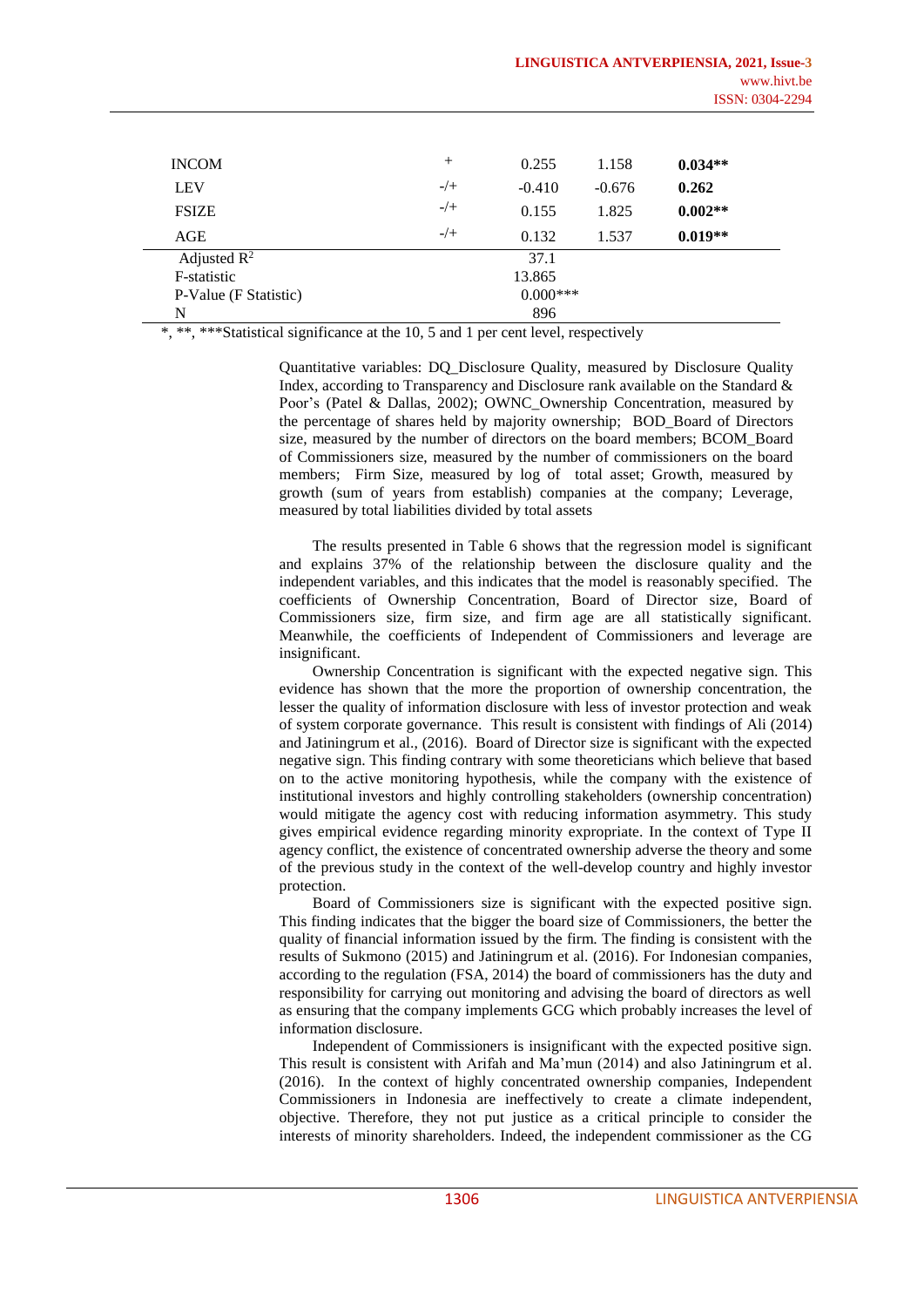| <b>INCOM</b>          | $^{+}$     | 0.255    | 1.158    | $0.034**$ |
|-----------------------|------------|----------|----------|-----------|
| <b>LEV</b>            | $-/+$      | $-0.410$ | $-0.676$ | 0.262     |
| <b>FSIZE</b>          | $-/+$      | 0.155    | 1.825    | $0.002**$ |
| AGE                   | $-/+$      | 0.132    | 1.537    | $0.019**$ |
| Adjusted $R^2$        |            | 37.1     |          |           |
| F-statistic           | 13.865     |          |          |           |
| P-Value (F Statistic) | $0.000***$ |          |          |           |
| N                     | 896        |          |          |           |

\*, \*\*, \*\*\*Statistical significance at the 10, 5 and 1 per cent level, respectively

Quantitative variables: DQ\_Disclosure Quality, measured by Disclosure Quality Index, according to Transparency and Disclosure rank available on the Standard  $\&$ Poor's (Patel & Dallas, 2002); OWNC Ownership Concentration, measured by the percentage of shares held by majority ownership; BOD\_Board of Directors size, measured by the number of directors on the board members; BCOM\_Board of Commissioners size, measured by the number of commissioners on the board members; Firm Size, measured by log of total asset; Growth, measured by growth (sum of years from establish) companies at the company; Leverage, measured by total liabilities divided by total assets

The results presented in Table 6 shows that the regression model is significant and explains 37% of the relationship between the disclosure quality and the independent variables, and this indicates that the model is reasonably specified. The coefficients of Ownership Concentration, Board of Director size, Board of Commissioners size, firm size, and firm age are all statistically significant. Meanwhile, the coefficients of Independent of Commissioners and leverage are insignificant.

Ownership Concentration is significant with the expected negative sign. This evidence has shown that the more the proportion of ownership concentration, the lesser the quality of information disclosure with less of investor protection and weak of system corporate governance. This result is consistent with findings of Ali (2014) and Jatiningrum et al., (2016). Board of Director size is significant with the expected negative sign. This finding contrary with some theoreticians which believe that based on to the active monitoring hypothesis, while the company with the existence of institutional investors and highly controlling stakeholders (ownership concentration) would mitigate the agency cost with reducing information asymmetry. This study gives empirical evidence regarding minority expropriate. In the context of Type II agency conflict, the existence of concentrated ownership adverse the theory and some of the previous study in the context of the well-develop country and highly investor protection.

Board of Commissioners size is significant with the expected positive sign. This finding indicates that the bigger the board size of Commissioners, the better the quality of financial information issued by the firm. The finding is consistent with the results of Sukmono (2015) and Jatiningrum et al. (2016). For Indonesian companies, according to the regulation (FSA, 2014) the board of commissioners has the duty and responsibility for carrying out monitoring and advising the board of directors as well as ensuring that the company implements GCG which probably increases the level of information disclosure.

Independent of Commissioners is insignificant with the expected positive sign. This result is consistent with Arifah and Ma'mun (2014) and also Jatiningrum et al. (2016). In the context of highly concentrated ownership companies, Independent Commissioners in Indonesia are ineffectively to create a climate independent, objective. Therefore, they not put justice as a critical principle to consider the interests of minority shareholders. Indeed, the independent commissioner as the CG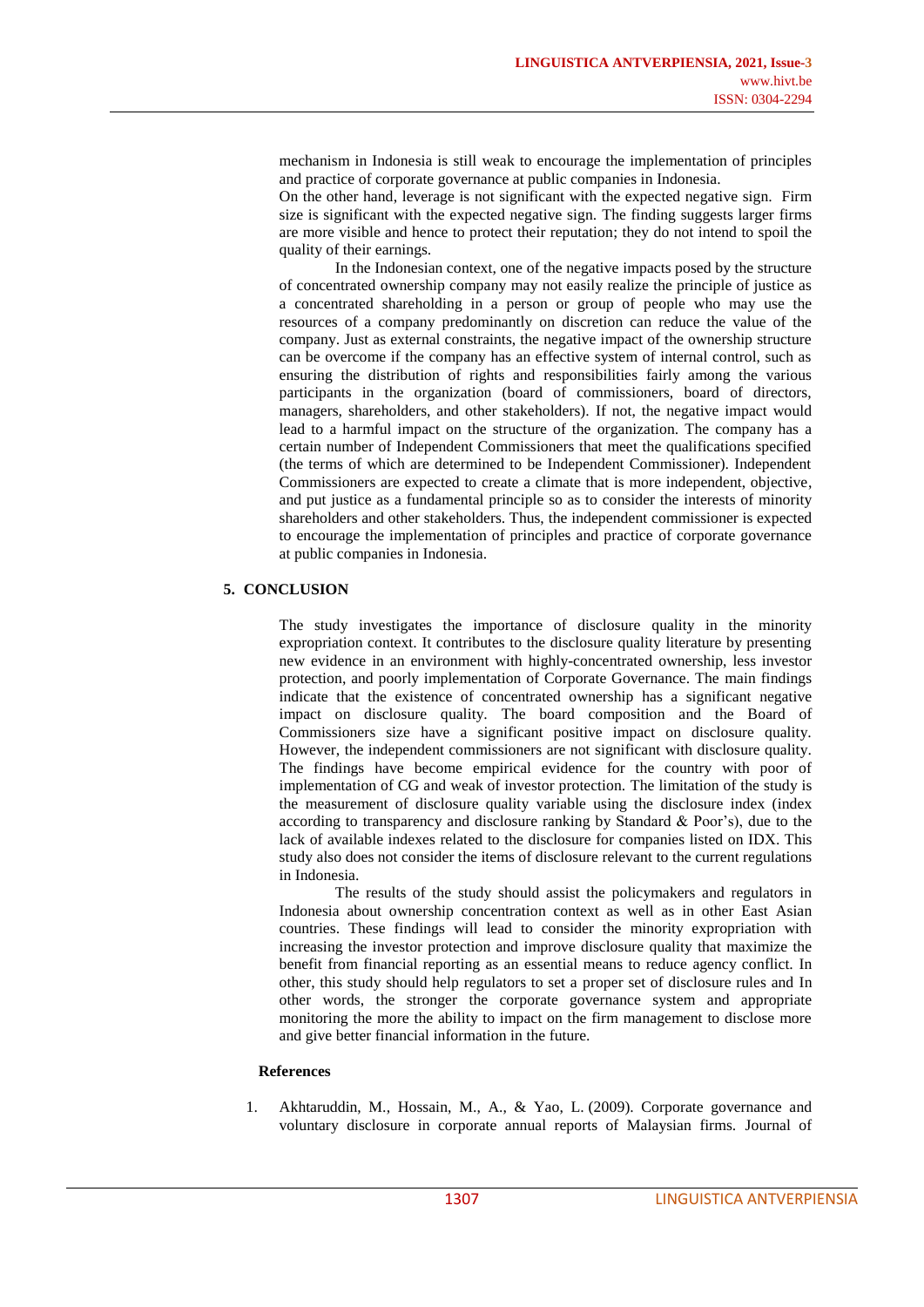mechanism in Indonesia is still weak to encourage the implementation of principles and practice of corporate governance at public companies in Indonesia.

On the other hand, leverage is not significant with the expected negative sign. Firm size is significant with the expected negative sign. The finding suggests larger firms are more visible and hence to protect their reputation; they do not intend to spoil the quality of their earnings.

In the Indonesian context, one of the negative impacts posed by the structure of concentrated ownership company may not easily realize the principle of justice as a concentrated shareholding in a person or group of people who may use the resources of a company predominantly on discretion can reduce the value of the company. Just as external constraints, the negative impact of the ownership structure can be overcome if the company has an effective system of internal control, such as ensuring the distribution of rights and responsibilities fairly among the various participants in the organization (board of commissioners, board of directors, managers, shareholders, and other stakeholders). If not, the negative impact would lead to a harmful impact on the structure of the organization. The company has a certain number of Independent Commissioners that meet the qualifications specified (the terms of which are determined to be Independent Commissioner). Independent Commissioners are expected to create a climate that is more independent, objective, and put justice as a fundamental principle so as to consider the interests of minority shareholders and other stakeholders. Thus, the independent commissioner is expected to encourage the implementation of principles and practice of corporate governance at public companies in Indonesia.

# **5. CONCLUSION**

The study investigates the importance of disclosure quality in the minority expropriation context. It contributes to the disclosure quality literature by presenting new evidence in an environment with highly-concentrated ownership, less investor protection, and poorly implementation of Corporate Governance. The main findings indicate that the existence of concentrated ownership has a significant negative impact on disclosure quality. The board composition and the Board of Commissioners size have a significant positive impact on disclosure quality. However, the independent commissioners are not significant with disclosure quality. The findings have become empirical evidence for the country with poor of implementation of CG and weak of investor protection. The limitation of the study is the measurement of disclosure quality variable using the disclosure index (index according to transparency and disclosure ranking by Standard & Poor's), due to the lack of available indexes related to the disclosure for companies listed on IDX. This study also does not consider the items of disclosure relevant to the current regulations in Indonesia.

The results of the study should assist the policymakers and regulators in Indonesia about ownership concentration context as well as in other East Asian countries. These findings will lead to consider the minority expropriation with increasing the investor protection and improve disclosure quality that maximize the benefit from financial reporting as an essential means to reduce agency conflict. In other, this study should help regulators to set a proper set of disclosure rules and In other words, the stronger the corporate governance system and appropriate monitoring the more the ability to impact on the firm management to disclose more and give better financial information in the future.

#### **References**

1. Akhtaruddin, M., Hossain, M., A., & Yao, L. (2009). Corporate governance and voluntary disclosure in corporate annual reports of Malaysian firms. Journal of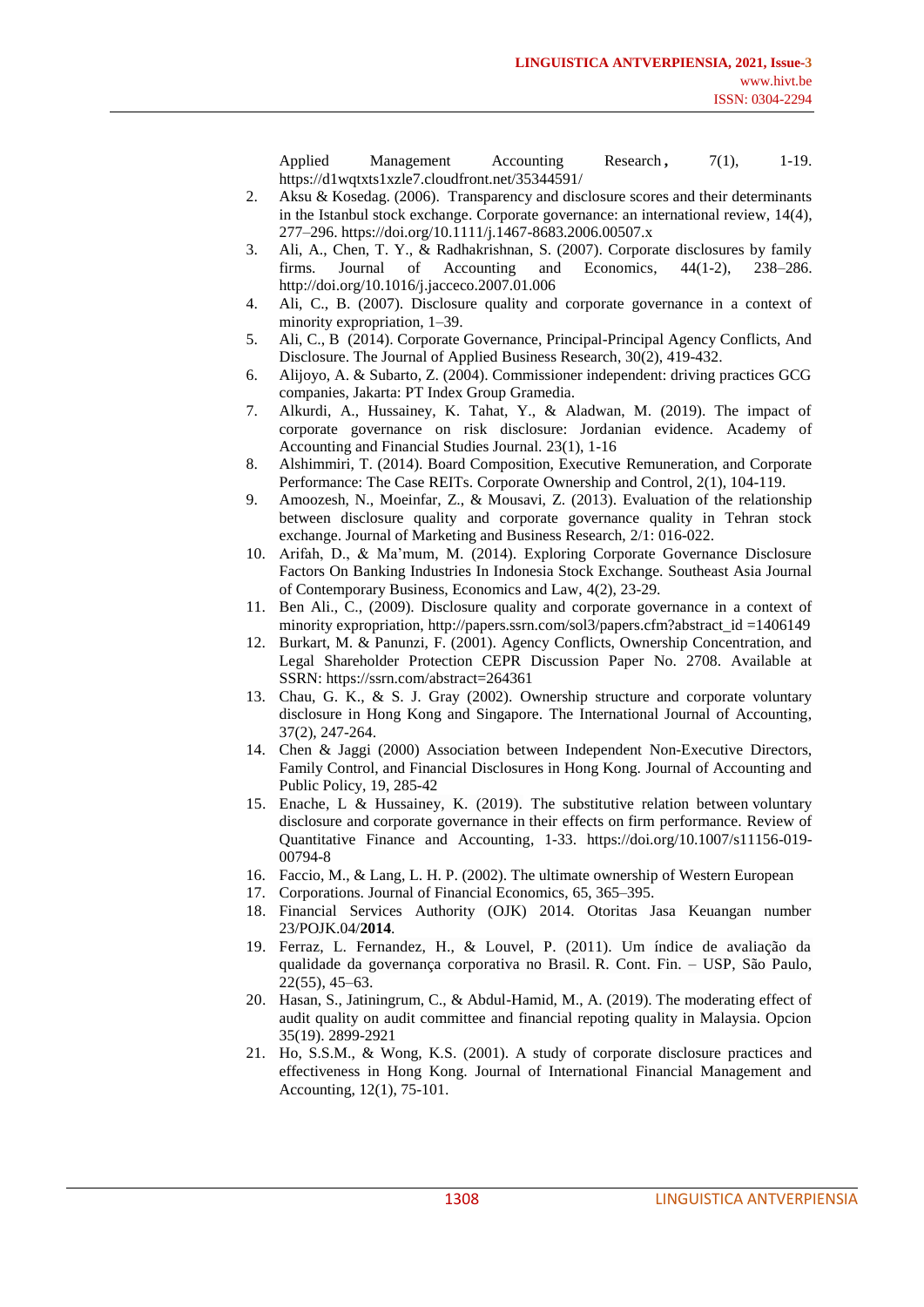Applied Management Accounting Research, 7(1), 1-19. <https://d1wqtxts1xzle7.cloudfront.net/35344591/>

- 2. Aksu & Kosedag. (2006). Transparency and disclosure scores and their determinants in the Istanbul stock exchange. Corporate governance: an international review, 14(4), 277–296. <https://doi.org/10.1111/j.1467-8683.2006.00507.x>
- 3. Ali, A., Chen, T. Y., & Radhakrishnan, S. (2007). Corporate disclosures by family firms. Journal of Accounting and Economics, 44(1-2), 238–286. <http://doi.org/10.1016/j.jacceco.2007.01.006>
- 4. Ali, C., B. (2007). Disclosure quality and corporate governance in a context of minority expropriation, 1–39.
- 5. Ali, C., B (2014). Corporate Governance, Principal-Principal Agency Conflicts, And Disclosure. The Journal of Applied Business Research, 30(2), 419-432.
- 6. Alijoyo, A. & Subarto, Z. (2004). Commissioner independent: driving practices GCG companies, Jakarta: PT Index Group Gramedia.
- 7. Alkurdi, A., Hussainey, K. Tahat, Y., & Aladwan, M. (2019). The impact of corporate governance on risk disclosure: Jordanian evidence. Academy of Accounting and Financial Studies Journal. 23(1), 1-16
- 8. Alshimmiri, T. (2014). Board Composition, Executive Remuneration, and Corporate Performance: The Case REITs. Corporate Ownership and Control, 2(1), 104-119.
- 9. Amoozesh, N., Moeinfar, Z., & Mousavi, Z. (2013). Evaluation of the relationship between disclosure quality and corporate governance quality in Tehran stock exchange. Journal of Marketing and Business Research, 2/1: 016-022.
- 10. Arifah, D., & Ma'mum, M. (2014). Exploring Corporate Governance Disclosure Factors On Banking Industries In Indonesia Stock Exchange. Southeast Asia Journal of Contemporary Business, Economics and Law, 4(2), 23-29.
- 11. Ben Ali., C., (2009). Disclosure quality and corporate governance in a context of minority expropriation, [http://papers.ssrn.com/sol3/papers.cfm?abstract\\_id](http://papers.ssrn.com/sol3/papers.cfm?abstract_id) =1406149
- 12. Burkart, M. & Panunzi, F. (2001). Agency Conflicts, Ownership Concentration, and Legal Shareholder Protection CEPR Discussion Paper No. 2708. Available at SSRN: <https://ssrn.com/abstract=264361>
- 13. Chau, G. K., & S. J. Gray (2002). Ownership structure and corporate voluntary disclosure in Hong Kong and Singapore. The International Journal of Accounting, 37(2), 247-264.
- 14. Chen & Jaggi (2000) Association between Independent Non-Executive Directors, Family Control, and Financial Disclosures in Hong Kong. Journal of Accounting and Public Policy, 19, 285-42
- 15. Enache, L & Hussainey, K. (2019). The substitutive relation between voluntary disclosure and corporate governance in their effects on firm performance. Review of Quantitative Finance and Accounting, 1-33. https://doi.org/10.1007/s11156-019- 00794-8
- 16. Faccio, M., & Lang, L. H. P. (2002). The ultimate ownership of Western European
- 17. Corporations. Journal of Financial Economics, 65, 365–395.
- 18. Financial Services Authority (OJK) 2014. Otoritas Jasa Keuangan number 23/POJK.04/**2014**.
- 19. Ferraz, L. Fernandez, H., & Louvel, P. (2011). Um índice de avaliação da qualidade da governança corporativa no Brasil. R. Cont. Fin. – USP, São Paulo, 22(55), 45–63.
- 20. Hasan, S., Jatiningrum, C., & Abdul-Hamid, M., A. (2019). The moderating effect of audit quality on audit committee and financial repoting quality in Malaysia. Opcion 35(19). 2899-2921
- 21. Ho, S.S.M., & Wong, K.S. (2001). A study of corporate disclosure practices and effectiveness in Hong Kong. Journal of International Financial Management and Accounting, 12(1), 75-101.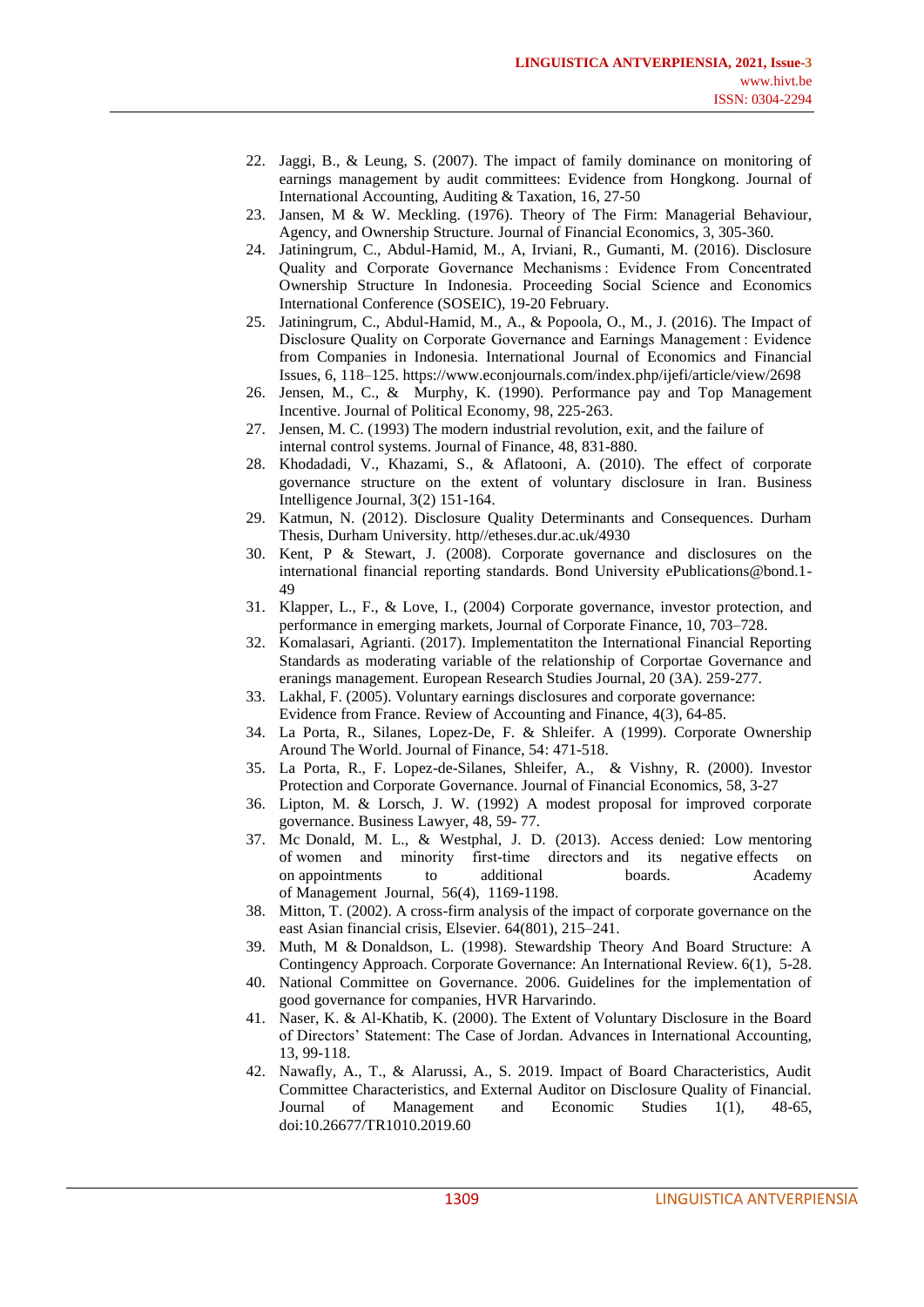- 22. Jaggi, B., & Leung, S. (2007). The impact of family dominance on monitoring of earnings management by audit committees: Evidence from Hongkong. Journal of International Accounting, Auditing & Taxation, 16, 27-50
- 23. Jansen, M & W. Meckling. (1976). Theory of The Firm: Managerial Behaviour, Agency, and Ownership Structure. Journal of Financial Economics, 3, 305-360.
- 24. Jatiningrum, C., Abdul-Hamid, M., A, Irviani, R., Gumanti, M. (2016). Disclosure Quality and Corporate Governance Mechanisms : Evidence From Concentrated Ownership Structure In Indonesia. Proceeding Social Science and Economics International Conference (SOSEIC), 19-20 February.
- Jatiningrum, C., Abdul-Hamid, M., A., & Popoola, O., M., J. (2016). The Impact of Disclosure Quality on Corporate Governance and Earnings Management : Evidence from Companies in Indonesia. International Journal of Economics and Financial Issues, 6, 118–125. <https://www.econjournals.com/index.php/ijefi/article/view/2698>
- 26. Jensen, M., C., & Murphy, K. (1990). Performance pay and Top Management Incentive. Journal of Political Economy, 98, 225-263.
- 27. Jensen, M. C. (1993) The modern industrial revolution, exit, and the failure of internal control systems. Journal of Finance, 48, 831-880.
- 28. Khodadadi, V., Khazami, S., & Aflatooni, A. (2010). The effect of corporate governance structure on the extent of voluntary disclosure in Iran. Business Intelligence Journal, 3(2) 151-164.
- 29. Katmun, N. (2012). Disclosure Quality Determinants and Consequences. Durham Thesis, Durham University. http//etheses.dur.ac.uk/4930
- 30. Kent, P & Stewart, J. (2008). Corporate governance and disclosures on the international financial reporting standards. Bond University ePublications@bond.1- 49
- 31. Klapper, L., F., & Love, I., (2004) Corporate governance, investor protection, and performance in emerging markets, Journal of Corporate Finance, 10, 703–728.
- 32. Komalasari, Agrianti. (2017). Implementatiton the International Financial Reporting Standards as moderating variable of the relationship of Corportae Governance and eranings management. European Research Studies Journal, 20 (3A). 259-277.
- 33. Lakhal, F. (2005). Voluntary earnings disclosures and corporate governance: Evidence from France. Review of Accounting and Finance, 4(3), 64-85.
- 34. La Porta, R., Silanes, Lopez-De, F. & Shleifer. A (1999). Corporate Ownership Around The World. Journal of Finance, 54: 471-518.
- 35. La Porta, R., F. Lopez-de-Silanes, Shleifer, A., & Vishny, R. (2000). Investor Protection and Corporate Governance. Journal of Financial Economics, 58, 3-27
- 36. Lipton, M. & Lorsch, J. W. (1992) A modest proposal for improved corporate governance. Business Lawyer, 48, 59- 77.
- 37. Mc Donald, M. L., & Westphal, J. D. (2013). Access denied: Low mentoring of women and minority first-time directors and its negative effects on on appointments to additional boards. Academy of Management Journal, 56(4), 1169-1198.
- 38. Mitton, T. (2002). A cross-firm analysis of the impact of corporate governance on the east Asian financial crisis, Elsevier. 64(801), 215–241.
- 39. Muth, M & Donaldson, L. (1998). Stewardship Theory And Board Structure: A Contingency Approach. Corporate Governance: An International Review. 6(1), 5-28.
- 40. National Committee on Governance. 2006. Guidelines for the implementation of good governance for companies, HVR Harvarindo.
- 41. Naser, K. & Al-Khatib, K. (2000). The Extent of Voluntary Disclosure in the Board of Directors' Statement: The Case of Jordan. Advances in International Accounting, 13, 99-118.
- 42. Nawafly, A., T., & Alarussi, A., S. 2019. Impact of Board Characteristics, Audit Committee Characteristics, and External Auditor on Disclosure Quality of Financial. Journal of Management and Economic Studies 1(1), 48-65, doi:10.26677/TR1010.2019.60